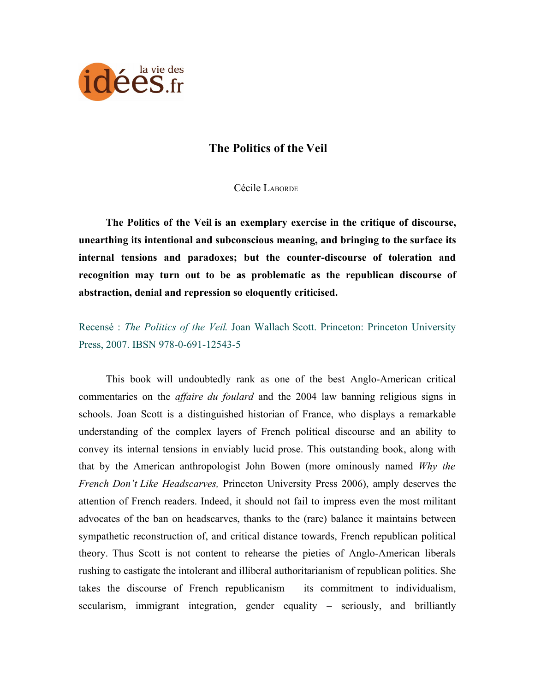

## **The Politics of the Veil**

Cécile LABORDE

**The Politics of the Veil is an exemplary exercise in the critique of discourse, unearthing its intentional and subconscious meaning, and bringing to the surface its internal tensions and paradoxes; but the counter-discourse of toleration and recognition may turn out to be as problematic as the republican discourse of abstraction, denial and repression so eloquently criticised.**

Recensé : *The Politics of the Veil*. Joan Wallach Scott. Princeton: Princeton University Press, 2007. IBSN 978-0-691-12543-5

This book will undoubtedly rank as one of the best Anglo-American critical commentaries on the *affaire du foulard* and the 2004 law banning religious signs in schools. Joan Scott is a distinguished historian of France, who displays a remarkable understanding of the complex layers of French political discourse and an ability to convey its internal tensions in enviably lucid prose. This outstanding book, along with that by the American anthropologist John Bowen (more ominously named *Why the French Don't Like Headscarves,* Princeton University Press 2006), amply deserves the attention of French readers. Indeed, it should not fail to impress even the most militant advocates of the ban on headscarves, thanks to the (rare) balance it maintains between sympathetic reconstruction of, and critical distance towards, French republican political theory. Thus Scott is not content to rehearse the pieties of Anglo-American liberals rushing to castigate the intolerant and illiberal authoritarianism of republican politics. She takes the discourse of French republicanism – its commitment to individualism, secularism, immigrant integration, gender equality – seriously, and brilliantly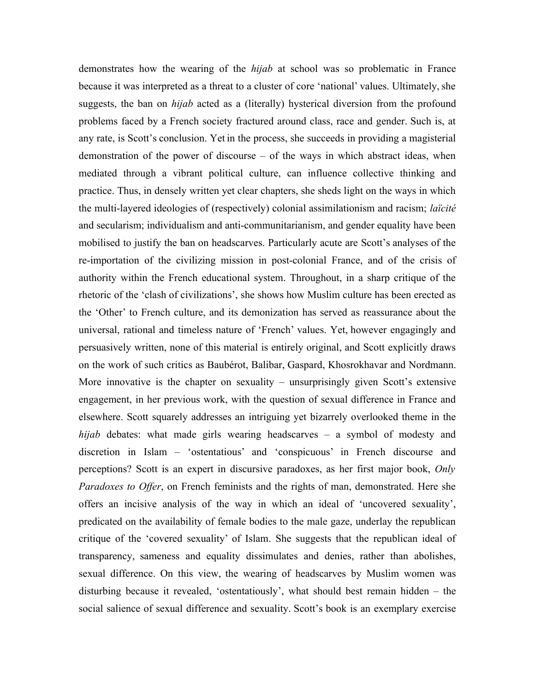demonstrates how the wearing of the *hijab* at school was so problematic in France because it was interpreted as a threat to a cluster of core 'national' values. Ultimately, she suggests, the ban on *hijab* acted as a (literally) hysterical diversion from the profound problems faced by a French society fractured around class, race and gender. Such is, at any rate, is Scott's conclusion. Yet in the process, she succeeds in providing a magisterial demonstration of the power of discourse – of the ways in which abstract ideas, when mediated through a vibrant political culture, can influence collective thinking and practice. Thus, in densely written yet clear chapters, she sheds light on the ways in which the multi-layered ideologies of (respectively) colonial assimilationism and racism; *laïcité* and secularism; individualism and anti-communitarianism, and gender equality have been mobilised to justify the ban on headscarves. Particularly acute are Scott's analyses of the re-importation of the civilizing mission in post-colonial France, and of the crisis of authority within the French educational system. Throughout, in a sharp critique of the rhetoric of the 'clash of civilizations', she shows how Muslim culture has been erected as the 'Other' to French culture, and its demonization has served as reassurance about the universal, rational and timeless nature of 'French' values. Yet, however engagingly and persuasively written, none of this material is entirely original, and Scott explicitly draws on the work of such critics as Baubérot, Balibar, Gaspard, Khosrokhavar and Nordmann. More innovative is the chapter on sexuality – unsurprisingly given Scott's extensive engagement, in her previous work, with the question of sexual difference in France and elsewhere. Scott squarely addresses an intriguing yet bizarrely overlooked theme in the *hijab* debates: what made girls wearing headscarves – a symbol of modesty and discretion in Islam – 'ostentatious' and 'conspicuous' in French discourse and perceptions? Scott is an expert in discursive paradoxes, as her first major book, *Only Paradoxes to Offer*, on French feminists and the rights of man, demonstrated. Here she offers an incisive analysis of the way in which an ideal of 'uncovered sexuality', predicated on the availability of female bodies to the male gaze, underlay the republican critique of the 'covered sexuality' of Islam. She suggests that the republican ideal of transparency, sameness and equality dissimulates and denies, rather than abolishes, sexual difference. On this view, the wearing of headscarves by Muslim women was disturbing because it revealed, 'ostentatiously', what should best remain hidden – the social salience of sexual difference and sexuality. Scott's book is an exemplary exercise